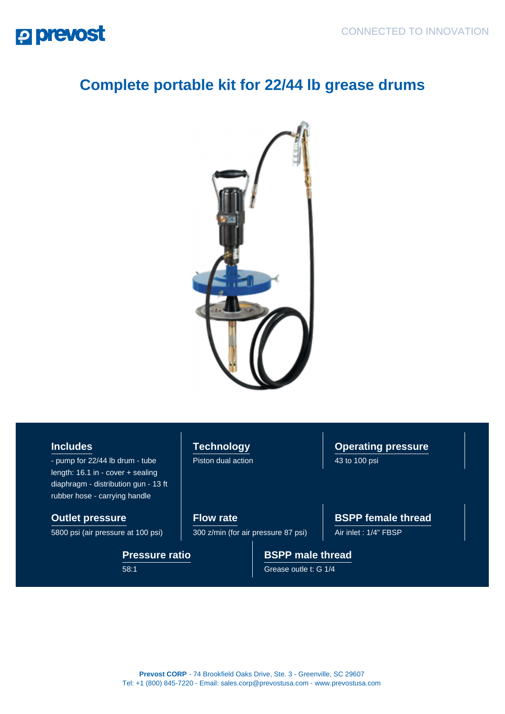## **P prevost**

## **Complete portable kit for 22/44 lb grease drums**



## **Includes**

- pump for 22/44 lb drum - tube length: 16.1 in - cover + sealing diaphragm - distribution gun - 13 ft rubber hose - carrying handle

**Pressure ratio**

58:1

**Outlet pressure** 5800 psi (air pressure at 100 psi) **Technology** Piston dual action **Operating pressure** 43 to 100 psi

**Flow rate** 300 z/min (for air pressure 87 psi) **BSPP female thread**

Air inlet : 1/4" FBSP

**BSPP male thread**

Grease outle t: G 1/4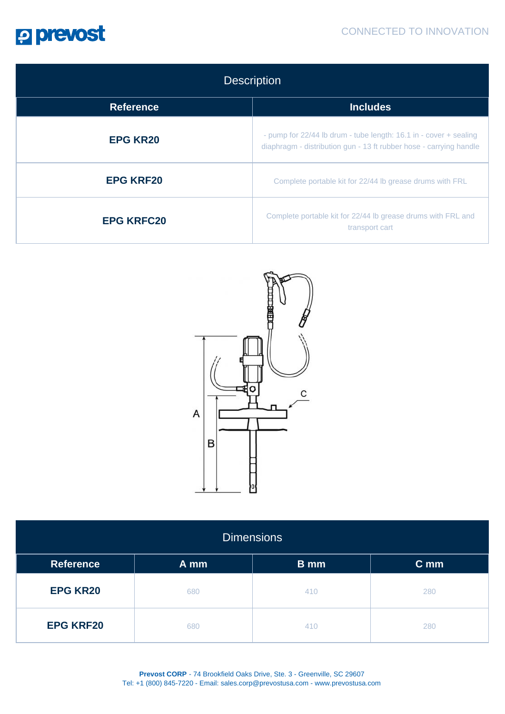

| <b>Description</b> |                                                                                                                                         |  |  |
|--------------------|-----------------------------------------------------------------------------------------------------------------------------------------|--|--|
| <b>Reference</b>   | <b>Includes</b>                                                                                                                         |  |  |
| <b>EPG KR20</b>    | - pump for 22/44 lb drum - tube length: 16.1 in - cover + sealing<br>diaphragm - distribution gun - 13 ft rubber hose - carrying handle |  |  |
| <b>EPG KRF20</b>   | Complete portable kit for 22/44 lb grease drums with FRL                                                                                |  |  |
| <b>EPG KRFC20</b>  | Complete portable kit for 22/44 lb grease drums with FRL and<br>transport cart                                                          |  |  |



| <b>Dimensions</b> |      |             |      |  |  |
|-------------------|------|-------------|------|--|--|
| <b>Reference</b>  | A mm | <b>B</b> mm | C mm |  |  |
| <b>EPG KR20</b>   | 680  | 410         | 280  |  |  |
| <b>EPG KRF20</b>  | 680  | 410         | 280  |  |  |

**Prevost CORP** - 74 Brookfield Oaks Drive, Ste. 3 - Greenville, SC 29607 Tel: +1 (800) 845-7220 - Email: sales.corp@prevostusa.com - www.prevostusa.com